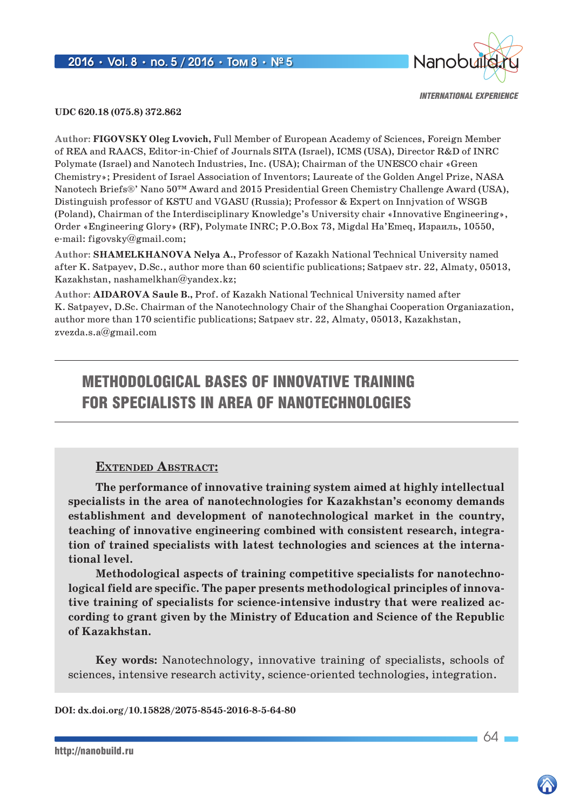

**UDC 620.18 (075.8) 372.862**

**Author: FIGOVSKY Oleg Lvovich,** Full Member of European Academy of Sciences, Foreign Member of REA and RAACS, Editor-in-Chief of Journals SITA (Israel), ICMS (USA), Director R&D of INRC Polymate (Israel) and Nanotech Industries, Inc. (USA); Chairman of the UNESCO chair «Green Chemistry»; President of Israel Association of Inventors; Laureate of the Golden Angel Prize, NASA Nanotech Briefs®' Nano 50™ Award and 2015 Presidential Green Chemistry Challenge Award (USA), Distinguish professor of KSTU and VGASU (Russia); Professor & Expert on Innjvation of WSGB (Poland), Chairman of the Interdisciplinary Knowledge's University chair «Innovative Engineering», Order «Engineering Glory» (RF), Polymate INRC; P.O.Box 73, Migdal Ha'Emeq, Израиль, 10550, e-mail: figovsky@gmail.com;

**Author: SHAMELKHANOVA Nelya A.,** Professor of Kazakh National Technical University named after K. Satpayev, D.Sc., author more than 60 scientific publications; Satpaev str. 22, Almaty, 05013, Kazakhstan, nashamelkhan@yandex.kz;

**Author: AIDAROVA Saule B.,** Prof. of Kazakh National Technical University named after K. Satpayev, D.Sc. Chairman of the Nanotechnology Chair of the Shanghai Cooperation Organiazation, author more than 170 scientific publications; Satpaev str. 22, Almaty, 05013, Kazakhstan, zvezda.s.a@gmail.com

# METHODOLOGICAL BASES OF INNOVATIVE TRAINING FOR SPECIALISTS IN AREA OF NANOTECHNOLOGIES

#### **Extended Abstract:**

**The performance of innovative training system aimed at highly intellectual specialists in the area of nanotechnologies for Kazakhstan's economy demands establishment and development of nanotechnological market in the country, teaching of innovative engineering combined with consistent research, integration of trained specialists with latest technologies and sciences at the international level.**

**Methodological aspects of training competitive specialists for nanotechnological field are specific. The paper presents methodological principles of innovative training of specialists for science-intensive industry that were realized according to grant given by the Ministry of Education and Science of the Republic of Kazakhstan.**

**Key words:** Nanotechnology, innovative training of specialists, schools of sciences, intensive research activity, science-oriented technologies, integration.

**DOI: dx.doi.org/10.15828/2075-8545-2016-8-5-64-80**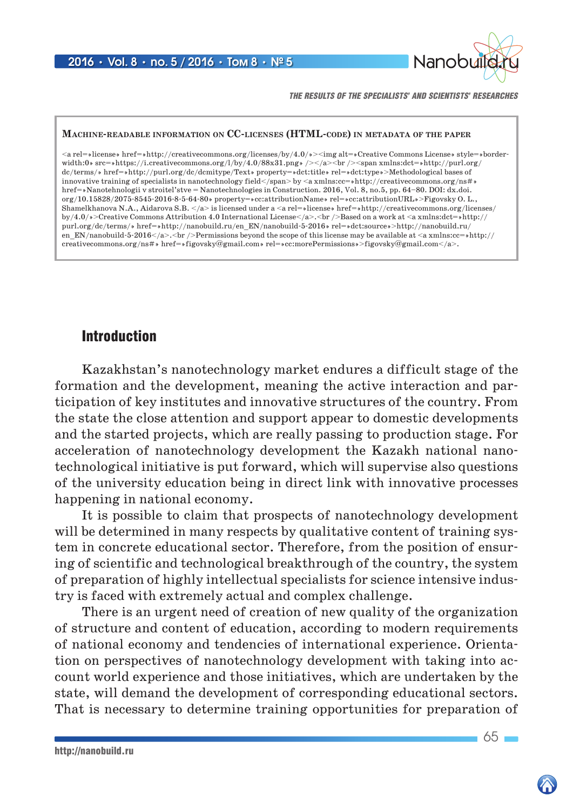

*THE RESULTS OF THE SPECIALISTS' AND SCIENTISTS' RESEARCHES*

#### **Machine-readable information on CC-licenses (HTML-code) in metadata of the paper**

<a rel=»license» href=»http://creativecommons.org/licenses/by/4.0/»><img alt=»Creative Commons License» style=»borderwidth:0» src=»https://i.creativecommons.org/l/by/4.0/88x31.png» /></a><br/>  $\langle$ ->span xmlns:dct=»http://purl.org/ dc/terms/» href=»http://purl.org/dc/dcmitype/Text» property=»dct:title» rel=»dct:type»>Methodological bases of innovative training of specialists in nanotechnology field</span> by <a xmlns:cc=>http://creativecommons.org/ns# href=»Nanotehnologii v stroitel'stve = Nanotechnologies in Construction. 2016, Vol. 8, no.5, pp. 64–80. DOI: dx.doi. org/10.15828/2075-8545-2016-8-5-64-80» property=»cc:attributionName» rel=»cc:attributionURL»>Figovsky O. L., Shamelkhanova N.A., Aidarova S.B.  $\langle x \rangle$  is licensed under a  $\langle x \rangle$  arel=»license» href=»http://creativecommons.org/licenses/ by/4.0/»>Creative Commons Attribution 4.0 International License</a>.<br />Based on a work at <a xmlns:dct=»http:// purl.org/dc/terms/» href=»http://nanobuild.ru/en\_EN/nanobuild-5-2016» rel=»dct:source»>http://nanobuild.ru/ en\_EN/nanobuild-5-2016</a>.<br />>>>>Permissions beyond the scope of this license may be available at <a xmlns:cc=»http:// creativecommons.org/ns#» href=»figovsky@gmail.com» rel=»cc:morePermissions»>figovsky@gmail.com</a>.

#### Introduction

Kazakhstan's nanotechnology market endures a difficult stage of the formation and the development, meaning the active interaction and participation of key institutes and innovative structures of the country. From the state the close attention and support appear to domestic developments and the started projects, which are really passing to production stage. For acceleration of nanotechnology development the Kazakh national nanotechnological initiative is put forward, which will supervise also questions of the university education being in direct link with innovative processes happening in national economy.

It is possible to claim that prospects of nanotechnology development will be determined in many respects by qualitative content of training system in concrete educational sector. Therefore, from the position of ensuring of scientific and technological breakthrough of the country, the system of preparation of highly intellectual specialists for science intensive industry is faced with extremely actual and complex challenge.

There is an urgent need of creation of new quality of the organization of structure and content of education, according to modern requirements of national economy and tendencies of international experience. Orientation on perspectives of nanotechnology development with taking into account world experience and those initiatives, which are undertaken by the state, will demand the development of corresponding educational sectors. That is necessary to determine training opportunities for preparation of

 $65 -$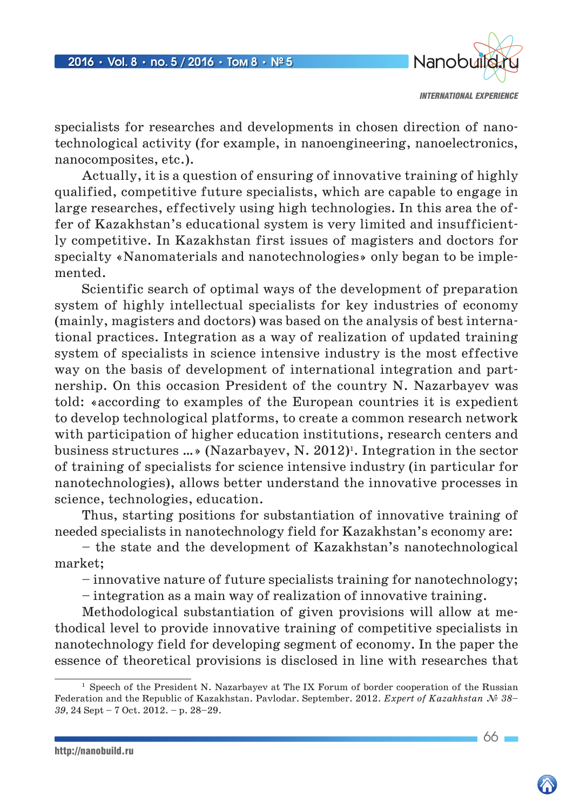

specialists for researches and developments in chosen direction of nanotechnological activity (for example, in nanoengineering, nanoelectronics, nanocomposites, etc.).

Actually, it is a question of ensuring of innovative training of highly qualified, competitive future specialists, which are capable to engage in large researches, effectively using high technologies. In this area the offer of Kazakhstan's educational system is very limited and insufficiently competitive. In Kazakhstan first issues of magisters and doctors for specialty «Nanomaterials and nanotechnologies» only began to be implemented.

Scientific search of optimal ways of the development of preparation system of highly intellectual specialists for key industries of economy (mainly, magisters and doctors) was based on the analysis of best international practices. Integration as a way of realization of updated training system of specialists in science intensive industry is the most effective way on the basis of development of international integration and partnership. On this occasion President of the country N. Nazarbayev was told: «according to examples of the European countries it is expedient to develop technological platforms, to create a common research network with participation of higher education institutions, research centers and business structures  $\ldots$  (Nazarbayev, N. 2012)<sup>1</sup>. Integration in the sector of training of specialists for science intensive industry (in particular for nanotechnologies), allows better understand the innovative processes in science, technologies, education.

Thus, starting positions for substantiation of innovative training of needed specialists in nanotechnology field for Kazakhstan's economy are:

– the state and the development of Kazakhstan's nanotechnological market;

– innovative nature of future specialists training for nanotechnology;

– integration as a main way of realization of innovative training.

Methodological substantiation of given provisions will allow at methodical level to provide innovative training of competitive specialists in nanotechnology field for developing segment of economy. In the paper the essence of theoretical provisions is disclosed in line with researches that

http://nanobuild.ru

 $66 -$ 

<sup>&</sup>lt;sup>1</sup> Speech of the President N. Nazarbayev at The IX Forum of border cooperation of the Russian Federation and the Republic of Kazakhstan. Pavlodar. September. 2012. *Expert of Kazakhstan № 38– 39,* 24 Sept – 7 Oct. 2012. – p. 28–29.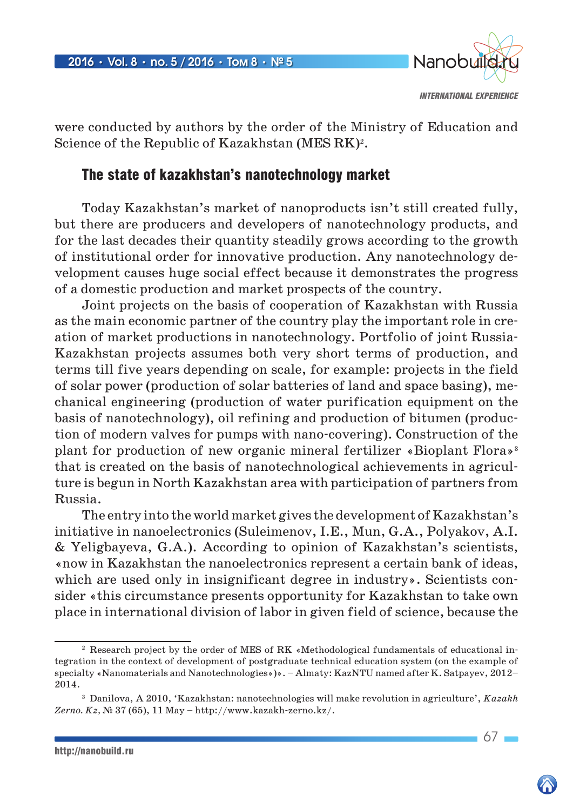

were conducted by authors by the order of the Ministry of Education and Science of the Republic of Kazakhstan (MES RK)<sup>2</sup>.

## The state of kazakhstan's nanotechnology market

Today Kazakhstan's market of nanoproducts isn't still created fully, but there are producers and developers of nanotechnology products, and for the last decades their quantity steadily grows according to the growth of institutional order for innovative production. Any nanotechnology development causes huge social effect because it demonstrates the progress of a domestic production and market prospects of the country.

Joint projects on the basis of cooperation of Kazakhstan with Russia as the main economic partner of the country play the important role in creation of market productions in nanotechnology. Portfolio of joint Russia-Kazakhstan projects assumes both very short terms of production, and terms till five years depending on scale, for example: projects in the field of solar power (production of solar batteries of land and space basing), mechanical engineering (production of water purification equipment on the basis of nanotechnology), oil refining and production of bitumen (production of modern valves for pumps with nano-covering). Construction of the plant for production of new organic mineral fertilizer «Bioplant Flora»3 that is created on the basis of nanotechnological achievements in agriculture is begun in North Kazakhstan area with participation of partners from Russia.

The entry into the world market gives the development of Kazakhstan's initiative in nanoelectronics (Suleimenov, I.E., Mun, G.A., Polyakov, A.I. & Yeligbayeva, G.A.). According to opinion of Kazakhstan's scientists, «now in Kazakhstan the nanoelectronics represent a certain bank of ideas, which are used only in insignificant degree in industry». Scientists consider «this circumstance presents opportunity for Kazakhstan to take own place in international division of labor in given field of science, because the

 $67 =$ 

<sup>2</sup> Research project by the order of MES of RK «Methodological fundamentals of educational integration in the context of development of postgraduate technical education system (on the example of specialty «Nanomaterials and Nanotechnologies»)». – Almaty: KazNTU named after K. Satpayev, 2012– 2014.

<sup>3</sup> Danilova, A 2010, 'Kazakhstan: nanotechnologies will make revolution in agriculture', *Kazakh Zerno. Kz,* № 37 (65), 11 May – http://www.kazakh-zerno.kz/.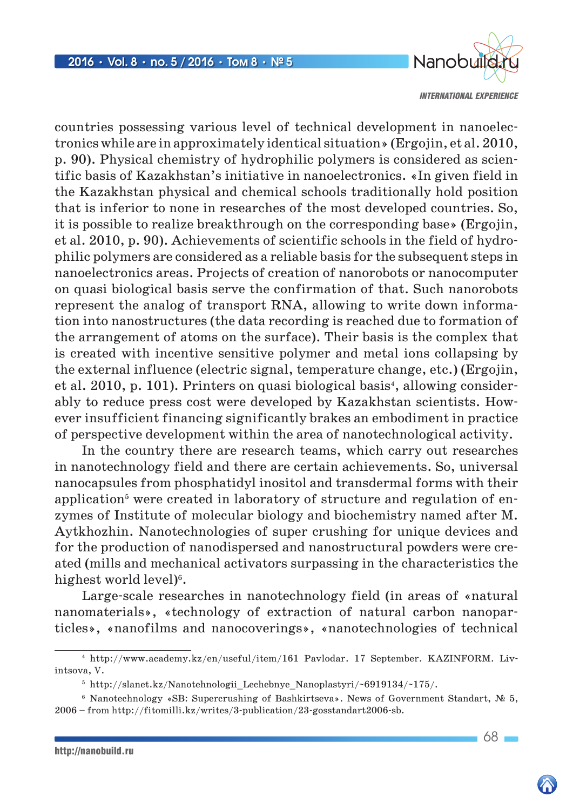

countries possessing various level of technical development in nanoelectronics while are in approximately identical situation» (Ergojin, et al. 2010, p. 90). Physical chemistry of hydrophilic polymers is considered as scientific basis of Kazakhstan's initiative in nanoelectronics. «In given field in the Kazakhstan physical and chemical schools traditionally hold position that is inferior to none in researches of the most developed countries. So, it is possible to realize breakthrough on the corresponding base» (Ergojin, et al. 2010, p. 90). Achievements of scientific schools in the field of hydrophilic polymers are considered as a reliable basis for the subsequent steps in nanoelectronics areas. Projects of creation of nanorobots or nanocomputer on quasi biological basis serve the confirmation of that. Such nanorobots represent the analog of transport RNA, allowing to write down information into nanostructures (the data recording is reached due to formation of the arrangement of atoms on the surface). Their basis is the complex that is created with incentive sensitive polymer and metal ions collapsing by the external influence (electric signal, temperature change, etc.) (Ergojin, et al. 2010, p. 101). Printers on quasi biological basis<sup>4</sup>, allowing considerably to reduce press cost were developed by Kazakhstan scientists. However insufficient financing significantly brakes an embodiment in practice of perspective development within the area of nanotechnological activity.

In the country there are research teams, which carry out researches in nanotechnology field and there are certain achievements. So, universal nanocapsules from phosphatidyl inositol and transdermal forms with their application<sup>5</sup> were created in laboratory of structure and regulation of enzymes of Institute of molecular biology and biochemistry named after M. Aytkhozhin. Nanotechnologies of super crushing for unique devices and for the production of nanodispersed and nanostructural powders were created (mills and mechanical activators surpassing in the characteristics the highest world level $)^6$ .

Large-scale researches in nanotechnology field (in areas of «natural nanomaterials», «technology of extraction of natural carbon nanoparticles», «nanofilms and nanocoverings», «nanotechnologies of technical

68

<sup>4</sup> http://www.academy.kz/en/useful/item/161 Pavlodar. 17 September. KAZINFORM. Livintsova, V.

 $5$  http://slanet.kz/Nanotehnologii Lechebnye Nanoplastyri/~6919134/~175/.

<sup>6</sup> Nanotechnology «SB: Supercrushing of Bashkirtseva». News of Government Standart, № 5, 2006 – from http://fitomilli.kz/writes/3-publication/23-gosstandart2006-sb.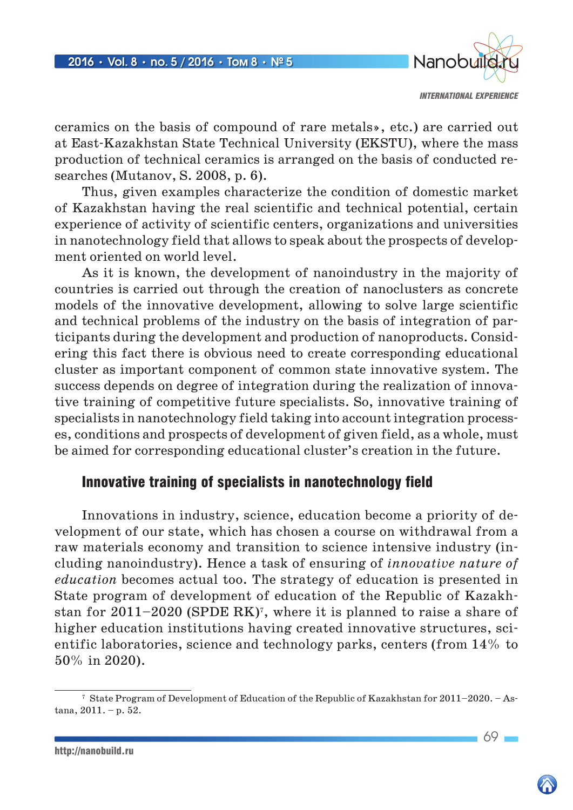

ceramics on the basis of compound of rare metals», etc.) are carried out at East-Kazakhstan State Technical University (EKSTU), where the mass production of technical ceramics is arranged on the basis of conducted researches (Mutanov, S. 2008, p. 6).

Thus, given examples characterize the condition of domestic market of Kazakhstan having the real scientific and technical potential, certain experience of activity of scientific centers, organizations and universities in nanotechnology field that allows to speak about the prospects of development oriented on world level.

As it is known, the development of nanoindustry in the majority of countries is carried out through the creation of nanoclusters as concrete models of the innovative development, allowing to solve large scientific and technical problems of the industry on the basis of integration of participants during the development and production of nanoproducts. Considering this fact there is obvious need to create corresponding educational cluster as important component of common state innovative system. The success depends on degree of integration during the realization of innovative training of competitive future specialists. So, innovative training of specialists in nanotechnology field taking into account integration processes, conditions and prospects of development of given field, as a whole, must be aimed for corresponding educational cluster's creation in the future.

### Innovative training of specialists in nanotechnology field

Innovations in industry, science, education become a priority of development of our state, which has chosen a course on withdrawal from a raw materials economy and transition to science intensive industry (including nanoindustry). Hence a task of ensuring of *innovative nature of education* becomes actual too. The strategy of education is presented in State program of development of education of the Republic of Kazakhstan for  $2011-2020$  (SPDE RK)<sup>7</sup>, where it is planned to raise a share of higher education institutions having created innovative structures, sci-entific laboratories, science and technology parks, centers (from 14% to 50% in 2020).

<sup>7</sup> State Program of Development of Education of the Republic of Kazakhstan for 2011–2020. – Astana, 2011. – p. 52.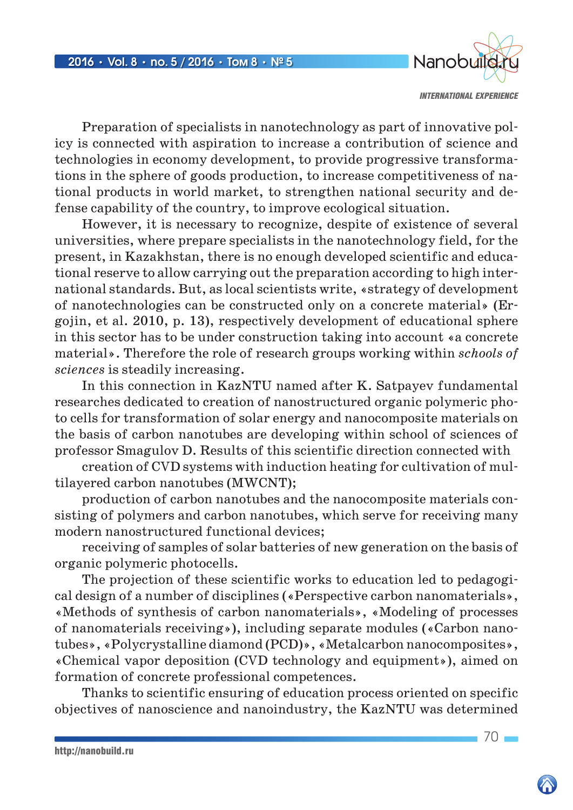

Preparation of specialists in nanotechnology as part of innovative policy is connected with aspiration to increase a contribution of science and technologies in economy development, to provide progressive transformations in the sphere of goods production, to increase competitiveness of national products in world market, to strengthen national security and defense capability of the country, to improve ecological situation.

However, it is necessary to recognize, despite of existence of several universities, where prepare specialists in the nanotechnology field, for the present, in Kazakhstan, there is no enough developed scientific and educational reserve to allow carrying out the preparation according to high international standards. But, as local scientists write, «strategy of development of nanotechnologies can be constructed only on a concrete material» (Ergojin, et al. 2010, p. 13), respectively development of educational sphere in this sector has to be under construction taking into account «a concrete material». Therefore the role of research groups working within *schools of sciences* is steadily increasing.

In this connection in KazNTU named after K. Satpayev fundamental researches dedicated to creation of nanostructured organic polymeric photo cells for transformation of solar energy and nanocomposite materials on the basis of carbon nanotubes are developing within school of sciences of professor Smagulov D. Results of this scientific direction connected with

creation of CVD systems with induction heating for cultivation of multilayered carbon nanotubes (MWCNT);

production of carbon nanotubes and the nanocomposite materials consisting of polymers and carbon nanotubes, which serve for receiving many modern nanostructured functional devices;

receiving of samples of solar batteries of new generation on the basis of organic polymeric photocells.

The projection of these scientific works to education led to pedagogical design of a number of disciplines («Perspective carbon nanomaterials», «Methods of synthesis of carbon nanomaterials», «Modeling of processes of nanomaterials receiving»), including separate modules («Carbon nanotubes», «Polycrystalline diamond (PCD)», «Metalcarbon nanocomposites», «Chemical vapor deposition (CVD technology and equipment»), aimed on formation of concrete professional competences.

Thanks to scientific ensuring of education process oriented on specific objectives of nanoscience and nanoindustry, the KazNTU was determined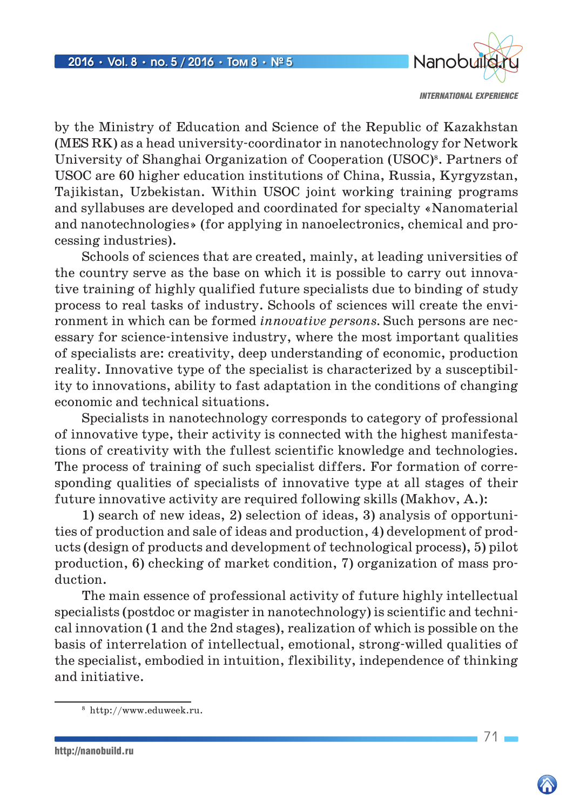

by the Ministry of Education and Science of the Republic of Kazakhstan (MES RK) as a head university-coordinator in nanotechnology for Network University of Shanghai Organization of Cooperation (USOC)8. Partners of USOC are 60 higher education institutions of China, Russia, Kyrgyzstan, Tajikistan, Uzbekistan. Within USOC joint working training programs and syllabuses are developed and coordinated for specialty «Nanomaterial and nanotechnologies» (for applying in nanoelectronics, chemical and processing industries).

Schools of sciences that are created, mainly, at leading universities of the country serve as the base on which it is possible to carry out innovative training of highly qualified future specialists due to binding of study process to real tasks of industry. Schools of sciences will create the environment in which can be formed *innovative persons.* Such persons are necessary for science-intensive industry, where the most important qualities of specialists are: creativity, deep understanding of economic, production reality. Innovative type of the specialist is characterized by a susceptibility to innovations, ability to fast adaptation in the conditions of changing economic and technical situations.

Specialists in nanotechnology corresponds to category of professional of innovative type, their activity is connected with the highest manifestations of creativity with the fullest scientific knowledge and technologies. The process of training of such specialist differs. For formation of corresponding qualities of specialists of innovative type at all stages of their future innovative activity are required following skills (Makhov, A.):

1) search of new ideas, 2) selection of ideas, 3) analysis of opportunities of production and sale of ideas and production, 4) development of products (design of products and development of technological process), 5) pilot production, 6) checking of market condition, 7) organization of mass production.

The main essence of professional activity of future highly intellectual specialists (postdoc or magister in nanotechnology) is scientific and technical innovation (1 and the 2nd stages), realization of which is possible on the basis of interrelation of intellectual, emotional, strong-willed qualities of the specialist, embodied in intuition, flexibility, independence of thinking and initiative.

<sup>8</sup> http://www.eduweek.ru.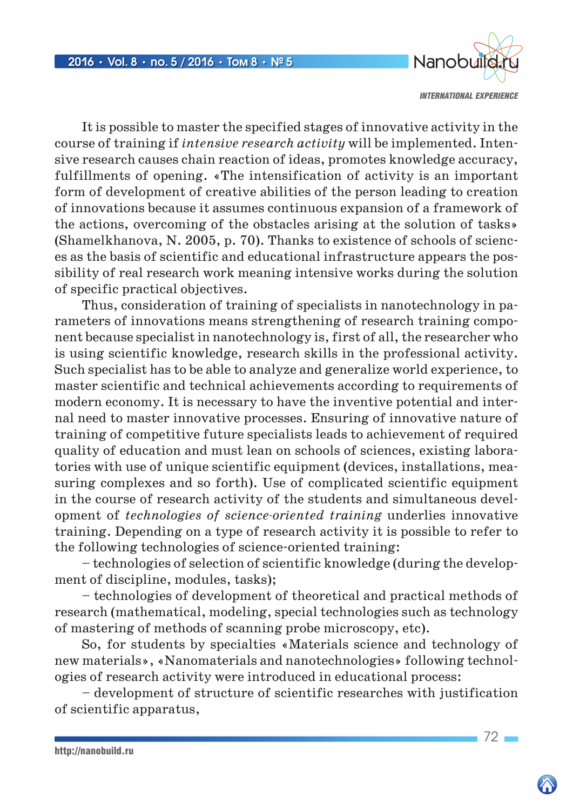

It is possible to master the specified stages of innovative activity in the course of training if *intensive research activity* will be implemented. Intensive research causes chain reaction of ideas, promotes knowledge accuracy, fulfillments of opening. «The intensification of activity is an important form of development of creative abilities of the person leading to creation of innovations because it assumes continuous expansion of a framework of the actions, overcoming of the obstacles arising at the solution of tasks» (Shamelkhanova, N. 2005, p. 70). Thanks to existence of schools of sciences as the basis of scientific and educational infrastructure appears the possibility of real research work meaning intensive works during the solution of specific practical objectives.

Thus, consideration of training of specialists in nanotechnology in parameters of innovations means strengthening of research training component because specialist in nanotechnology is, first of all, the researcher who is using scientific knowledge, research skills in the professional activity. Such specialist has to be able to analyze and generalize world experience, to master scientific and technical achievements according to requirements of modern economy. It is necessary to have the inventive potential and internal need to master innovative processes. Ensuring of innovative nature of training of competitive future specialists leads to achievement of required quality of education and must lean on schools of sciences, existing laboratories with use of unique scientific equipment (devices, installations, measuring complexes and so forth). Use of complicated scientific equipment in the course of research activity of the students and simultaneous development of *technologies of science-oriented training* underlies innovative training. Depending on a type of research activity it is possible to refer to the following technologies of science-oriented training:

– technologies of selection of scientific knowledge (during the development of discipline, modules, tasks);

– technologies of development of theoretical and practical methods of research (mathematical, modeling, special technologies such as technology of mastering of methods of scanning probe microscopy, etc).

So, for students by specialties «Materials science and technology of new materials», «Nanomaterials and nanotechnologies» following technologies of research activity were introduced in educational process:

– development of structure of scientific researches with justification of scientific apparatus,

 $72-$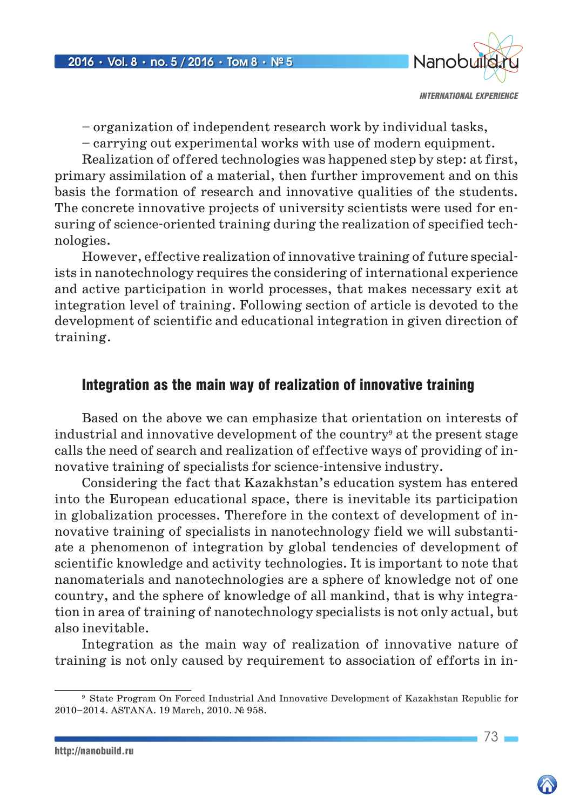

– organization of independent research work by individual tasks,

– carrying out experimental works with use of modern equipment.

Realization of offered technologies was happened step by step: at first, primary assimilation of a material, then further improvement and on this basis the formation of research and innovative qualities of the students. The concrete innovative projects of university scientists were used for ensuring of science-oriented training during the realization of specified technologies.

However, effective realization of innovative training of future specialists in nanotechnology requires the considering of international experience and active participation in world processes, that makes necessary exit at integration level of training. Following section of article is devoted to the development of scientific and educational integration in given direction of training.

## Integration as the main way of realization of innovative training

Based on the above we can emphasize that orientation on interests of industrial and innovative development of the country<sup>9</sup> at the present stage calls the need of search and realization of effective ways of providing of innovative training of specialists for science-intensive industry.

Considering the fact that Kazakhstan's education system has entered into the European educational space, there is inevitable its participation in globalization processes. Therefore in the context of development of innovative training of specialists in nanotechnology field we will substantiate a phenomenon of integration by global tendencies of development of scientific knowledge and activity technologies. It is important to note that nanomaterials and nanotechnologies are a sphere of knowledge not of one country, and the sphere of knowledge of all mankind, that is why integration in area of training of nanotechnology specialists is not only actual, but also inevitable.

Integration as the main way of realization of innovative nature of training is not only caused by requirement to association of efforts in in-

http://nanobuild.ru

<sup>9</sup> State Program On Forced Industrial And Innovative Development of Kazakhstan Republic for 2010–2014. ASTANA. 19 March, 2010. № 958.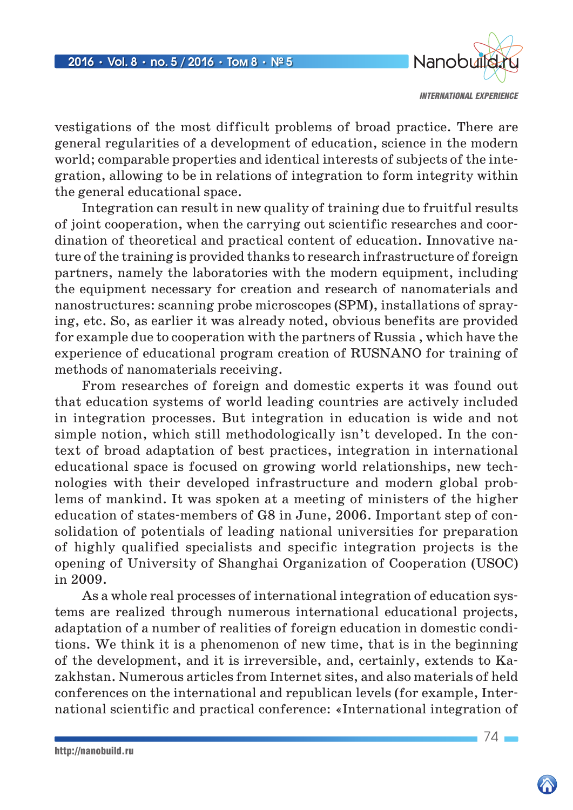

vestigations of the most difficult problems of broad practice. There are general regularities of a development of education, science in the modern world; comparable properties and identical interests of subjects of the integration, allowing to be in relations of integration to form integrity within the general educational space.

Integration can result in new quality of training due to fruitful results of joint cooperation, when the carrying out scientific researches and coordination of theoretical and practical content of education. Innovative nature of the training is provided thanks to research infrastructure of foreign partners, namely the laboratories with the modern equipment, including the equipment necessary for creation and research of nanomaterials and nanostructures: scanning probe microscopes (SPM), installations of spraying, etc. So, as earlier it was already noted, obvious benefits are provided for example due to cooperation with the partners of Russia , which have the experience of educational program creation of RUSNANO for training of methods of nanomaterials receiving.

From researches of foreign and domestic experts it was found out that education systems of world leading countries are actively included in integration processes. But integration in education is wide and not simple notion, which still methodologically isn't developed. In the context of broad adaptation of best practices, integration in international educational space is focused on growing world relationships, new technologies with their developed infrastructure and modern global problems of mankind. It was spoken at a meeting of ministers of the higher education of states-members of G8 in June, 2006. Important step of consolidation of potentials of leading national universities for preparation of highly qualified specialists and specific integration projects is the opening of University of Shanghai Organization of Cooperation (USOC) in 2009.

As a whole real processes of international integration of education systems are realized through numerous international educational projects, adaptation of a number of realities of foreign education in domestic conditions. We think it is a phenomenon of new time, that is in the beginning of the development, and it is irreversible, and, certainly, extends to Kazakhstan. Numerous articles from Internet sites, and also materials of held conferences on the international and republican levels (for example, International scientific and practical conference: «International integration of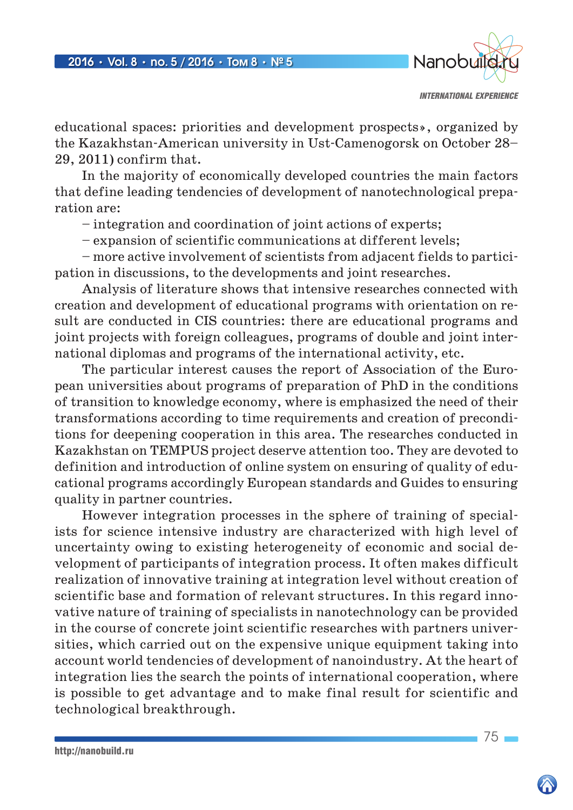

educational spaces: priorities and development prospects», organized by the Kazakhstan-American university in Ust-Camenogorsk on October 28– 29, 2011) confirm that.

In the majority of economically developed countries the main factors that define leading tendencies of development of nanotechnological preparation are:

– integration and coordination of joint actions of experts;

– expansion of scientific communications at different levels;

– more active involvement of scientists from adjacent fields to participation in discussions, to the developments and joint researches.

Analysis of literature shows that intensive researches connected with creation and development of educational programs with orientation on result are conducted in CIS countries: there are educational programs and joint projects with foreign colleagues, programs of double and joint international diplomas and programs of the international activity, etc.

The particular interest causes the report of Association of the European universities about programs of preparation of PhD in the conditions of transition to knowledge economy, where is emphasized the need of their transformations according to time requirements and creation of preconditions for deepening cooperation in this area. The researches conducted in Kazakhstan on TEMPUS project deserve attention too. They are devoted to definition and introduction of online system on ensuring of quality of educational programs accordingly European standards and Guides to ensuring quality in partner countries.

However integration processes in the sphere of training of specialists for science intensive industry are characterized with high level of uncertainty owing to existing heterogeneity of economic and social development of participants of integration process. It often makes difficult realization of innovative training at integration level without creation of scientific base and formation of relevant structures. In this regard innovative nature of training of specialists in nanotechnology can be provided in the course of concrete joint scientific researches with partners universities, which carried out on the expensive unique equipment taking into account world tendencies of development of nanoindustry. At the heart of integration lies the search the points of international cooperation, where is possible to get advantage and to make final result for scientific and technological breakthrough.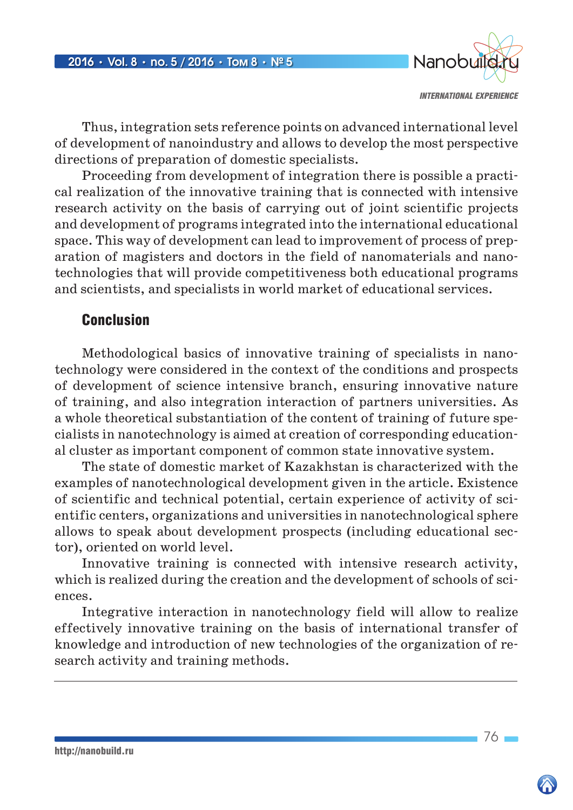

Thus, integration sets reference points on advanced international level of development of nanoindustry and allows to develop the most perspective directions of preparation of domestic specialists.

Proceeding from development of integration there is possible a practical realization of the innovative training that is connected with intensive research activity on the basis of carrying out of joint scientific projects and development of programs integrated into the international educational space. This way of development can lead to improvement of process of preparation of magisters and doctors in the field of nanomaterials and nanotechnologies that will provide competitiveness both educational programs and scientists, and specialists in world market of educational services.

## Conclusion

Methodological basics of innovative training of specialists in nanotechnology were considered in the context of the conditions and prospects of development of science intensive branch, ensuring innovative nature of training, and also integration interaction of partners universities. As a whole theoretical substantiation of the content of training of future specialists in nanotechnology is aimed at creation of corresponding educational cluster as important component of common state innovative system.

The state of domestic market of Kazakhstan is characterized with the examples of nanotechnological development given in the article. Existence of scientific and technical potential, certain experience of activity of scientific centers, organizations and universities in nanotechnological sphere allows to speak about development prospects (including educational sector), oriented on world level.

Innovative training is connected with intensive research activity, which is realized during the creation and the development of schools of sciences.

Integrative interaction in nanotechnology field will allow to realize effectively innovative training on the basis of international transfer of knowledge and introduction of new technologies of the organization of research activity and training methods.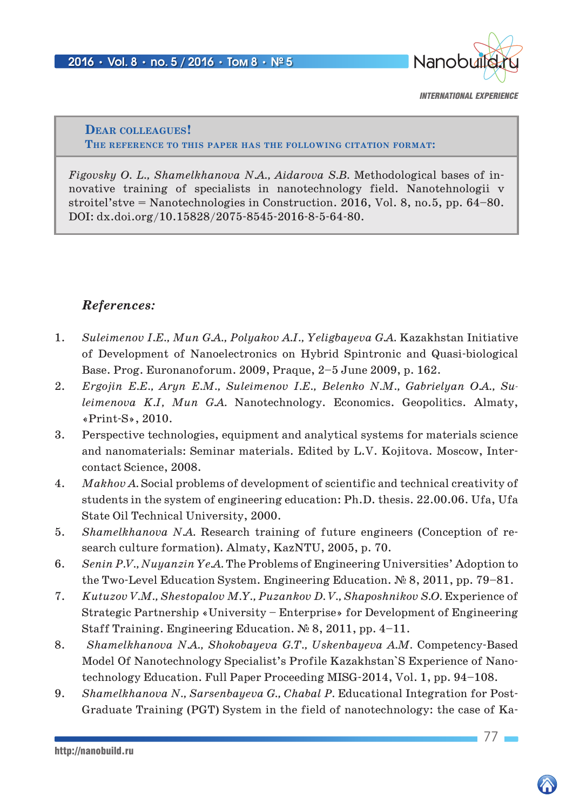

**Dear colleagues! The reference to this paper has the following citation format:**

*Figovsky O. L., Shamelkhanova N.A., Aidarova S.B.* Methodological bases of innovative training of specialists in nanotechnology field. Nanotehnologii v stroitel'stve = Nanotechnologies in Construction. 2016, Vol. 8, no.5, pp. 64–80. DOI: dx.doi.org/10.15828/2075-8545-2016-8-5-64-80.

### *References:*

- 1. *Suleimenov I.E., Mun G.A., Polyakov A.I., Yeligbayeva G.A.* Kazakhstan Initiative of Development of Nanoelectronics on Hybrid Spintronic and Quasi-biological Base. Prog. Euronanoforum. 2009, Praque, 2–5 June 2009, p. 162.
- 2. *Ergojin E.E., Aryn E.M., Suleimenov I.E., Belenko N.M., Gabrielyan O.A., Suleimenova K.I, Mun G.A.* Nanotechnology. Economics. Geopolitics. Almaty, «Print-S», 2010.
- 3. Perspective technologies, equipment and analytical systems for materials science and nanomaterials: Seminar materials. Edited by L.V. Kojitova. Moscow, Intercontact Science, 2008.
- 4. *Makhov A.* Social problems of development of scientific and technical creativity of students in the system of engineering education: Ph.D. thesis. 22.00.06. Ufa, Ufa State Oil Technical University, 2000.
- 5. *Shamelkhanova N.A.* Research training of future engineers (Conception of research culture formation). Almaty, KazNTU, 2005, p. 70.
- 6. *Senin P.V., Nuyanzin Ye.A.* The Problems of Engineering Universities' Adoption to the Two-Level Education System. Engineering Education. № 8, 2011, pp. 79–81.
- 7. *Kutuzov V.M., Shestopalov M.Y., Puzankov D. V., Shaposhnikov S.O.* Experience of Strategic Partnership «University – Enterprise» for Development of Engineering Staff Training. Engineering Education. № 8, 2011, pp. 4–11.
- 8. *Shamelkhanova N.A., Shokobayeva G.T., Uskenbayeva A.M.* Competency-Based Model Of Nanotechnology Specialist's Profile Kazakhstan`S Experience of Nanotechnology Education. Full Paper Proceeding MISG-2014, Vol. 1, pp. 94–108.
- 9. *Shamelkhanova N., Sarsenbayeva G., Chabal P.* Educational Integration for Post-Graduate Training (PGT) System in the field of nanotechnology: the case of Ka-

http://nanobuild.ru

77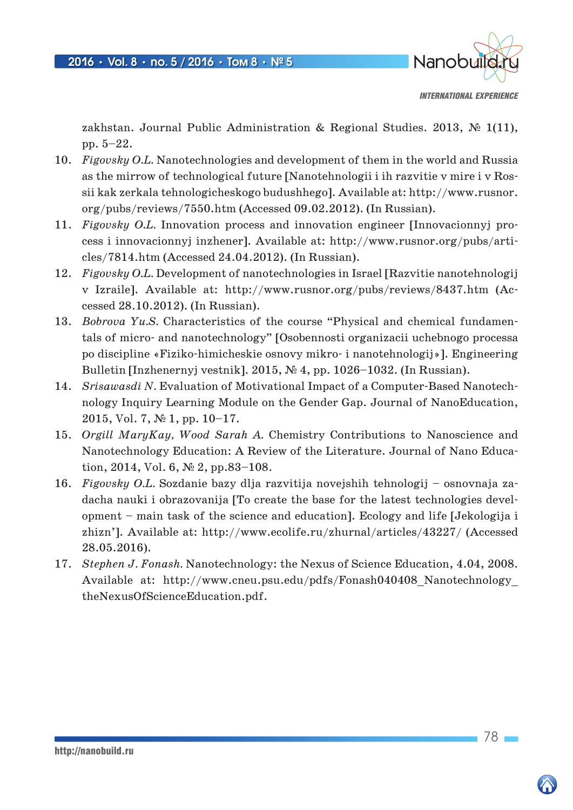

zakhstan. Journal Public Administration & Regional Studies. 2013,  $\mathbb{N}^{\mathbb{S}}$  1(11), pp. 5–22.

- 10. *Figovsky O.L.* Nanotechnologies and development of them in the world and Russia as the mirrow of technological future [Nanotehnologii i ih razvitie v mire i v Rossii kak zerkala tehnologicheskogo budushhego]. Available at: http://www.rusnor. org/pubs/reviews/7550.htm (Accessed 09.02.2012). (In Russian).
- 11. *Figovsky О.L.* Innovation process and innovation engineer [Innovacionnyj process i innovacionnyj inzhener]. Available at: http://www.rusnor.org/pubs/articles/7814.htm (Accessed 24.04.2012). (In Russian).
- 12. *Figovsky O.L.* Development of nanotechnologies in Israel [Razvitie nanotehnologi] v Izraile]. Available at: http://www.rusnor.org/pubs/reviews/8437.htm (Accessed 28.10.2012). (In Russian).
- 13. *Bobrova Yu.S.* Characteristics of the course "Physical and chemical fundamentals of micro- and nanotechnology" [Osobennosti organizacii uchebnogo processa po discipline «Fiziko-himicheskie osnovy mikro- i nanotehnologij»]. Engineering Bulletin [Inzhenernyj vestnik]. 2015, № 4, pp. 1026–1032. (In Russian).
- 14. *Srisawasdi N.* Evaluation of Motivational Impact of a Computer-Based Nanotechnology Inquiry Learning Module on the Gender Gap. Journal of NanoEducation, 2015, Vol. 7, № 1, pp. 10–17.
- 15. *Orgill MaryKay, Wood Sarah A.* Chemistry Contributions to Nanoscience and Nanotechnology Education: A Review of the Literature. Journal of Nano Education, 2014, Vol. 6, № 2, pp.83–108.
- 16. *Figovsky О.L.* Sozdanie bazy dlja razvitija novejshih tehnologij osnovnaja zadacha nauki i obrazovanija [To create the base for the latest technologies development – main task of the science and education]. Ecology and life [Jekologija i zhizn']. Available at: http://www.ecolife.ru/zhurnal/articles/43227/ (Accessed 28.05.2016).
- 17. *Stephen J. Fonash.* Nanotechnology: the Nexus of Science Education, 4.04, 2008. Available at: http://www.cneu.psu.edu/pdfs/Fonash040408\_Nanotechnology\_ theNexusOfScienceEducation.pdf.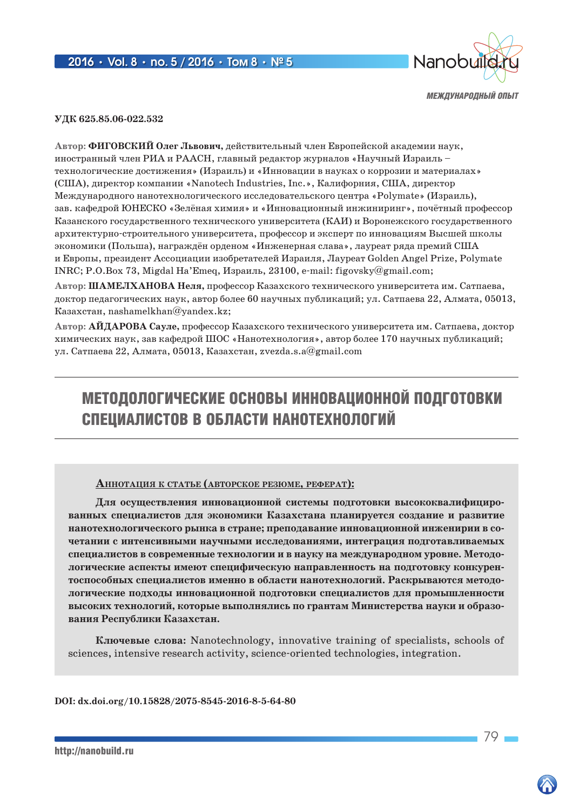

*МЕЖДУНАРОДНЫЙ ОПЫТ*

**УДК 625.85.06-022.532**

**Автор: ФИГОВСКИЙ Олег Львович,** действительный член Европейской академии наук, иностранный член РИА и РААСН, главный редактор журналов «Научный Израиль – технологические достижения» (Израиль) и «Инновации в науках о коррозии и материалах» (США), директор компании «Nanotech Industries, Inc.», Калифорния, CША, директор Международного нанотехнологического исследовательского центра «Polymate» (Израиль), зав. кафедрой ЮНЕСКО «Зелёная химия» и «Инновационный инжиниринг», почётный профессор Казанского государственного технического университета (КАИ) и Воронежского государственного архитектурно-строительного университета, профессор и эксперт по инновациям Высшей школы экономики (Польша), награждён орденом «Инженерная слава», лауреат ряда премий США и Европы, президент Ассоциации изобретателей Израиля, Лауреат Golden Angel Prize, Polymate INRC; P.O.Box 73, Migdal Ha'Emeq, Израиль, 23100, e-mail: figovsky@gmail.com;

**Автор: ШАМЕЛХАНОВА Неля,** профессор Казахского технического университета им. Сатпаева, доктор педагогических наук, автор более 60 научных публикаций; ул. Сатпаева 22, Алмата, 05013, Казахстан, nashamelkhan@yandex.kz;

**Автор: АЙДАРОВА Сауле,** профессор Казахского технического университета им. Сатпаева, доктор химических наук, зав кафедрой ШОС «Нанотехнология», автор более 170 научных публикаций; ул. Сатпаева 22, Алмата, 05013, Казахстан, zvezda.s.a@gmail.com

# МЕТОДОЛОГИЧЕСКИЕ ОСНОВЫ ИННОВАЦИОННОЙ ПОДГОТОВКИ СПЕЦИАЛИСТОВ В ОБЛАСТИ НАНОТЕХНОЛОГИЙ

#### **АннотАция <sup>к</sup> стАтье (Авторское резюме, реферАт):**

**Для осуществления инновационной системы подготовки высококвалифицированных специалистов для экономики Казахстана планируется создание и развитие нанотехнологического рынка в стране; преподавание инновационной инженирии в сочетании с интенсивными научными исследованиями, интеграция подготавливаемых специалистов в современные технологии и в науку на международном уровне. Методологические аспекты имеют специфическую направленность на подготовку конкурентоспособных специалистов именно в области нанотехнологий. Раскрываются методологические подходы инновационной подготовки специалистов для промышленности высоких технологий, которые выполнялись по грантам Министерства науки и образования Республики Казахстан.**

**Ключевые слова:** Nanotechnology, innovative training of specialists, schools of sciences, intensive research activity, science-oriented technologies, integration.

**DOI: dx.doi.org/10.15828/2075-8545-2016-8-5-64-80**